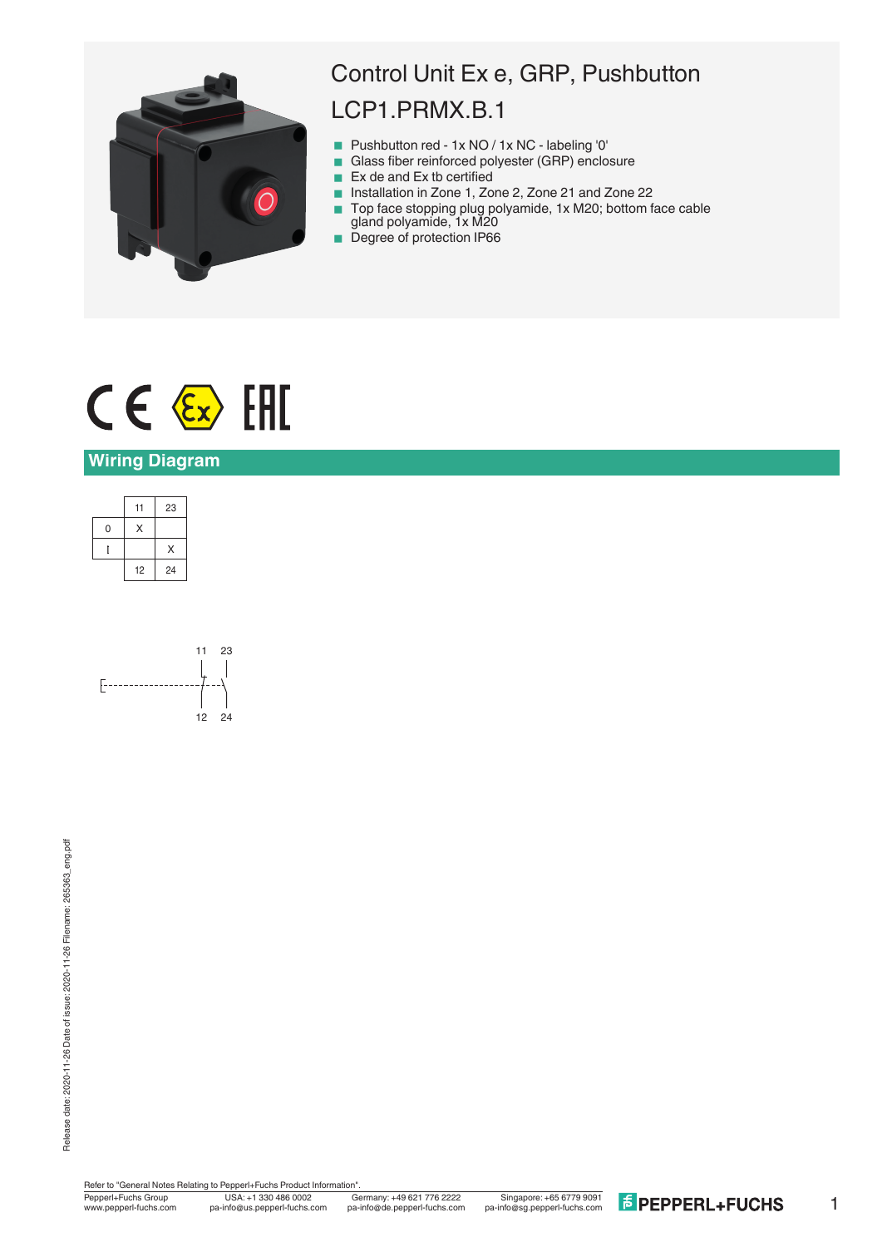

## Control Unit Ex e, GRP, Pushbutton LCP1.PRMX.B.1

- Pushbutton red 1x NO / 1x NC labeling '0'
- Glass fiber reinforced polyester (GRP) enclosure
- $\blacksquare$  Ex de and Ex tb certified
- Installation in Zone 1, Zone 2, Zone 21 and Zone 22
- Top face stopping plug polyamide, 1x M20; bottom face cable gland polyamide, 1x M20
- Degree of protection IP66

# $CE \& H$

#### **Wiring Diagram**





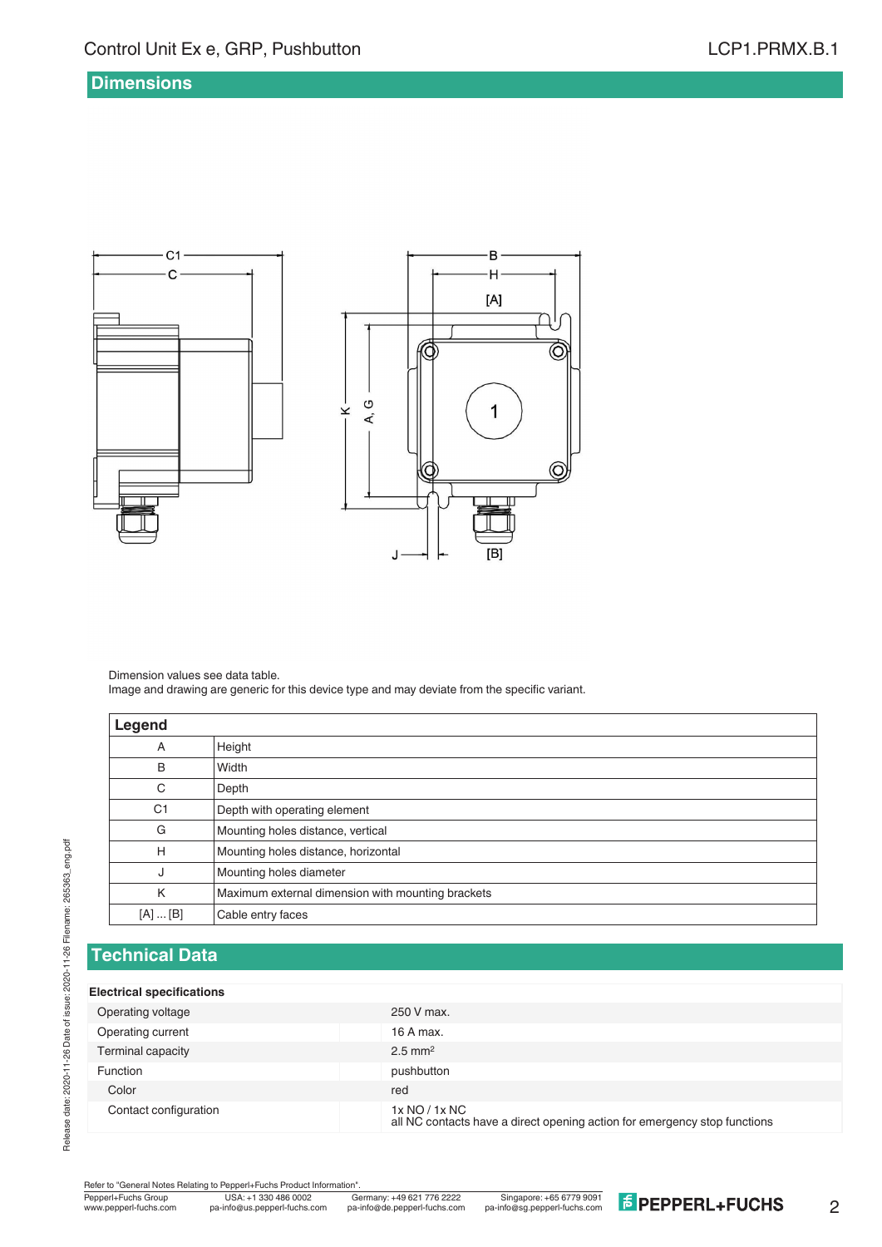#### **Dimensions**



Dimension values see data table. Image and drawing are generic for this device type and may deviate from the specific variant.

| Legend         |                                                   |
|----------------|---------------------------------------------------|
| A              | Height                                            |
| B              | Width                                             |
| C              | Depth                                             |
| C <sub>1</sub> | Depth with operating element                      |
| G              | Mounting holes distance, vertical                 |
| Н              | Mounting holes distance, horizontal               |
| J              | Mounting holes diameter                           |
| K              | Maximum external dimension with mounting brackets |
| [A]  [B]       | Cable entry faces                                 |

#### **Technical Data**

#### **Electrical specifications**

Release date: 2020-11-26 Date of issue: 2020-11-26 Filename: 265363\_eng.pdf

Release date: 2020-11-26 Date of issue: 2020-11-26 Filename: 265363\_eng.pdf

| ---------- <i>-</i> ---------------- |                                                                                            |
|--------------------------------------|--------------------------------------------------------------------------------------------|
| Operating voltage                    | 250 V max.                                                                                 |
| Operating current                    | 16 A max.                                                                                  |
| Terminal capacity                    | $2.5$ mm <sup>2</sup>                                                                      |
| <b>Function</b>                      | pushbutton                                                                                 |
| Color                                | red                                                                                        |
| Contact configuration                | 1x NO / 1x NC<br>all NC contacts have a direct opening action for emergency stop functions |

Refer to "General Notes Relating to Pepperl+Fuchs Product Information"<br>
Pepperl+Fuchs Group<br>
Www.pepperl-fuchs.com pa-info@us.pepperl-fuchs.com pa

 $\overline{\widehat{\mathcal{O}}}$ 

 $\bigcirc$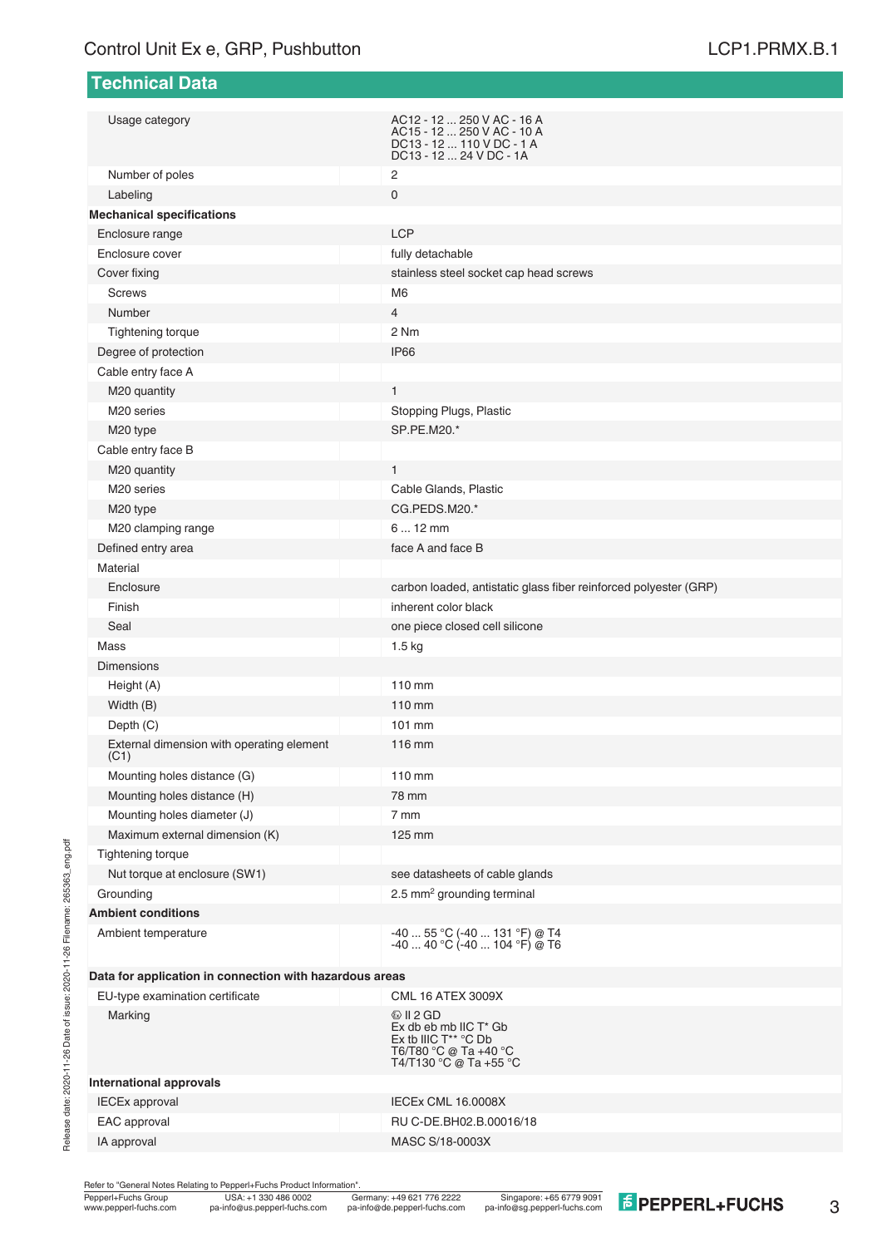**Technical Data**

| Usage category                                          | AC12 - 12  250 V AC - 16 A<br>AC15 - 12  250 V AC - 10 A<br>DC13 - 12  110 V DC - 1 A<br>DC13 - 12  24 V DC - 1A                       |
|---------------------------------------------------------|----------------------------------------------------------------------------------------------------------------------------------------|
| Number of poles                                         | $\overline{2}$                                                                                                                         |
| Labeling                                                | $\mathbf 0$                                                                                                                            |
| <b>Mechanical specifications</b>                        |                                                                                                                                        |
| Enclosure range                                         | <b>LCP</b>                                                                                                                             |
| Enclosure cover                                         | fully detachable                                                                                                                       |
| Cover fixing                                            | stainless steel socket cap head screws                                                                                                 |
| <b>Screws</b>                                           | M <sub>6</sub>                                                                                                                         |
| Number                                                  | 4                                                                                                                                      |
| Tightening torque                                       | 2 Nm                                                                                                                                   |
| Degree of protection                                    | <b>IP66</b>                                                                                                                            |
| Cable entry face A                                      |                                                                                                                                        |
| M20 quantity                                            | $\mathbf{1}$                                                                                                                           |
| M <sub>20</sub> series                                  | Stopping Plugs, Plastic                                                                                                                |
| M20 type                                                | SP.PE.M20.*                                                                                                                            |
| Cable entry face B                                      |                                                                                                                                        |
| M20 quantity                                            | $\mathbf{1}$                                                                                                                           |
| M <sub>20</sub> series                                  | Cable Glands, Plastic                                                                                                                  |
| M20 type                                                | CG.PEDS.M20.*                                                                                                                          |
| M20 clamping range                                      | $612$ mm                                                                                                                               |
| Defined entry area                                      | face A and face B                                                                                                                      |
| Material                                                |                                                                                                                                        |
| Enclosure                                               | carbon loaded, antistatic glass fiber reinforced polyester (GRP)                                                                       |
| Finish                                                  | inherent color black                                                                                                                   |
| Seal                                                    | one piece closed cell silicone                                                                                                         |
| Mass                                                    | $1.5$ kg                                                                                                                               |
| <b>Dimensions</b>                                       |                                                                                                                                        |
| Height (A)                                              | 110 mm                                                                                                                                 |
| Width (B)                                               | 110 mm                                                                                                                                 |
| Depth (C)                                               | 101 mm                                                                                                                                 |
| External dimension with operating element<br>(C1)       | 116 mm                                                                                                                                 |
| Mounting holes distance (G)                             | 110 mm                                                                                                                                 |
| Mounting holes distance (H)                             | 78 mm                                                                                                                                  |
| Mounting holes diameter (J)                             | 7 mm                                                                                                                                   |
| Maximum external dimension (K)                          | 125 mm                                                                                                                                 |
| Tightening torque                                       |                                                                                                                                        |
| Nut torque at enclosure (SW1)                           | see datasheets of cable glands                                                                                                         |
| Grounding                                               | 2.5 mm <sup>2</sup> grounding terminal                                                                                                 |
| <b>Ambient conditions</b>                               |                                                                                                                                        |
| Ambient temperature                                     | -40  55 °C (-40  131 °F) @ T4<br>$-4040 °C (-40104 °F) @ T6$                                                                           |
| Data for application in connection with hazardous areas |                                                                                                                                        |
| EU-type examination certificate                         | <b>CML 16 ATEX 3009X</b>                                                                                                               |
| Marking                                                 | $\circledcirc$ II 2 GD<br>Ex db eb mb IIC T* Gb<br>Ex tb IIIC T <sup>**</sup> °C Db<br>T6/T80 °C @ Ta +40 °C<br>T4/T130 °C @ Ta +55 °C |
| <b>International approvals</b>                          |                                                                                                                                        |
| <b>IECEx approval</b>                                   | IECEx CML 16.0008X                                                                                                                     |
| EAC approval                                            | RU C-DE.BH02.B.00016/18                                                                                                                |
| IA approval                                             | MASC S/18-0003X                                                                                                                        |

Refer to "General Notes Relating to Pepperl+Fuchs Product Information".